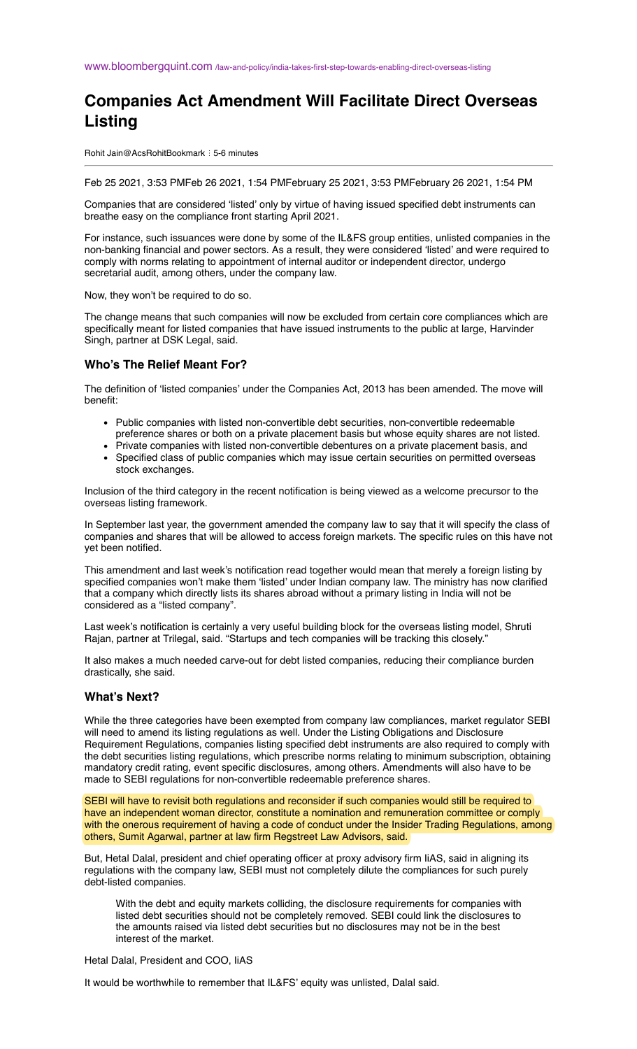## **Companies Act Amendment Will Facilitate Direct Overseas Listing**

Rohit Jain@AcsRohitBookmark ⋮ 5-6 minutes

Feb 25 2021, 3:53 PMFeb 26 2021, 1:54 PMFebruary 25 2021, 3:53 PMFebruary 26 2021, 1:54 PM

Companies that are considered 'listed' only by virtue of having issued specified debt instruments can breathe easy on the compliance front starting April 2021.

For instance, such issuances were done by some of the IL&FS group entities, unlisted companies in the non-banking financial and power sectors. As a result, they were considered 'listed' and were required to comply with norms relating to appointment of internal auditor or independent director, undergo secretarial audit, among others, under the company law.

Now, they won't be required to do so.

The change means that such companies will now be excluded from certain core compliances which are specifically meant for listed companies that have issued instruments to the public at large, Harvinder Singh, partner at DSK Legal, said.

## **Who's The Relief Meant For?**

The definition of 'listed companies' under the Companies Act, 2013 has been amended. The move will benefit:

- Public companies with listed non-convertible debt securities, non-convertible redeemable preference shares or both on a private placement basis but whose equity shares are not listed.
- Private companies with listed non-convertible debentures on a private placement basis, and
- Specified class of public companies which may issue certain securities on permitted overseas stock exchanges.

Inclusion of the third category in the recent notification is being viewed as a welcome precursor to the overseas listing framework.

In September last year, the government amended the company law to say that it will specify the class of companies and shares that will be allowed to access foreign markets. The specific rules on this have not yet been notified.

This amendment and last week's notification read together would mean that merely a foreign listing by specified companies won't make them 'listed' under Indian company law. The ministry has now clarified that a company which directly lists its shares abroad without a primary listing in India will not be considered as a "listed company".

Last week's notification is certainly a very useful building block for the overseas listing model, Shruti Rajan, partner at Trilegal, said. "Startups and tech companies will be tracking this closely."

It also makes a much needed carve-out for debt listed companies, reducing their compliance burden drastically, she said.

## **What's Next?**

While the three categories have been exempted from company law compliances, market regulator SEBI will need to amend its listing regulations as well. Under the Listing Obligations and Disclosure Requirement Regulations, companies listing specified debt instruments are also required to comply with the debt securities listing regulations, which prescribe norms relating to minimum subscription, obtaining mandatory credit rating, event specific disclosures, among others. Amendments will also have to be made to SEBI regulations for non-convertible redeemable preference shares.

SEBI will have to revisit both regulations and reconsider if such companies would still be required to have an independent woman director, constitute a nomination and remuneration committee or comply with the onerous requirement of having a code of conduct under the Insider Trading Regulations, among others, Sumit Agarwal, partner at law firm Regstreet Law Advisors, said.

But, Hetal Dalal, president and chief operating officer at proxy advisory firm IiAS, said in aligning its regulations with the company law, SEBI must not completely dilute the compliances for such purely debt-listed companies.

With the debt and equity markets colliding, the disclosure requirements for companies with listed debt securities should not be completely removed. SEBI could link the disclosures to the amounts raised via listed debt securities but no disclosures may not be in the best interest of the market.

Hetal Dalal, President and COO, IiAS

It would be worthwhile to remember that IL&FS' equity was unlisted, Dalal said.